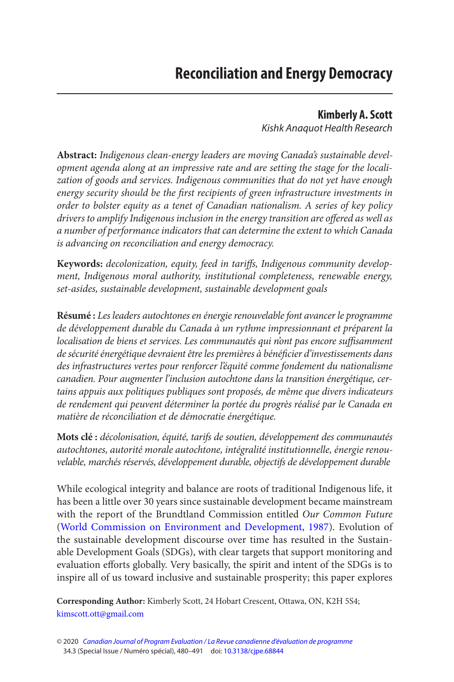#### **Kimberly A. Scott**

Kishk Anaquot Health Research

<span id="page-0-0"></span>**Abstract:** Indigenous clean-energy leaders are moving Canada's sustainable development agenda along at an impressive rate and are setting the stage for the localization of goods and services. Indigenous communities that do not yet have enough energy security should be the first recipients of green infrastructure investments in order to bolster equity as a tenet of Canadian nationalism. A series of key policy drivers to amplify Indigenous inclusion in the energy transition are offered as well as a number of performance indicators that can determine the extent to which Canada is advancing on reconciliation and energy democracy.

**Keywords:** decolonization, equity, feed in tariffs, Indigenous community development, Indigenous moral authority, institutional completeness, renewable energy, set-asides, sustainable development, sustainable development goals

**Résumé :** Les leaders autochtones en énergie renouvelable font avancer le programme de développement durable du Canada à un rythme impressionnant et préparent la localisation de biens et services. Les communautés qui n'ont pas encore suffisamment de sécurité énergétique devraient être les premières à bénéficier d'investissements dans des infrastructures vertes pour renforcer l'équité comme fondement du nationalisme canadien. Pour augmenter l'inclusion autochtone dans la transition énergétique, certains appuis aux politiques publiques sont proposés, de même que divers indicateurs de rendement qui peuvent déterminer la portée du progrès réalisé par le Canada en matière de réconciliation et de démocratie énergétique.

**Mots clé :** décolonisation, équité, tarifs de soutien, développement des communautés autochtones, autorité morale autochtone, intégralité institutionnelle, énergie renouvelable, marchés réservés, développement durable, objectifs de développement durable

While ecological integrity and balance are roots of traditional Indigenous life, it has been a little over 30 years since sustainable development became mainstream with the report of the Brundtland Commission entitled Our Common Future [\(World Commission on Environment and Development, 1987\)](#page-11-0). Evolution of the sustainable development discourse over time has resulted in the Sustainable Development Goals (SDGs), with clear targets that support monitoring and evaluation efforts globally. Very basically, the spirit and intent of the SDGs is to inspire all of us toward inclusive and sustainable prosperity; this paper explores

**Corresponding Author:** Kimberly Scott, 24 Hobart Crescent, Ottawa, ON, K2H 5S4; [kimscott.ott@gmail.com](mailto:kimscott.ott@gmail.com) 

<sup>© 2020</sup> [Canadian Journal of Program Evaluation / La Revue canadienne d'évaluation de programme](https://www.utpjournals.press/loi/cjpe)  34.3 (Special Issue / Numéro spécial), 480-491 doi: 10.3138/cjpe.68844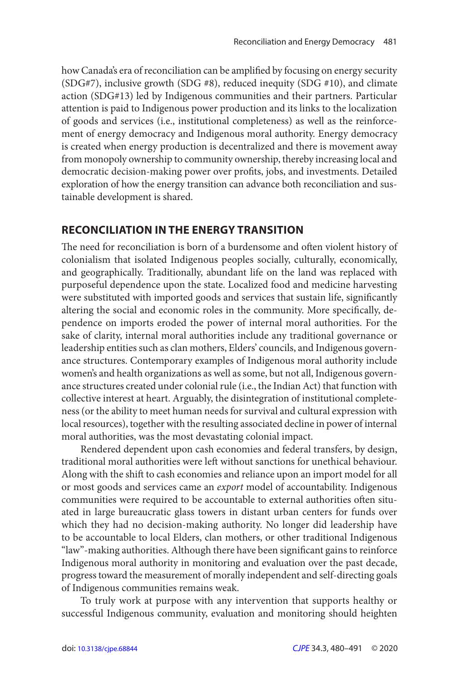how Canada's era of reconciliation can be amplified by focusing on energy security (SDG#7), inclusive growth (SDG #8), reduced inequity (SDG #10), and climate action (SDG#13) led by Indigenous communities and their partners. Particular attention is paid to Indigenous power production and its links to the localization of goods and services (i.e., institutional completeness) as well as the reinforcement of energy democracy and Indigenous moral authority. Energy democracy is created when energy production is decentralized and there is movement away from monopoly ownership to community ownership, thereby increasing local and democratic decision-making power over profits, jobs, and investments. Detailed exploration of how the energy transition can advance both reconciliation and sustainable development is shared.

#### **RECONCILIATION IN THE ENERGY TRANSITION**

 The need for reconciliation is born of a burdensome and often violent history of colonialism that isolated Indigenous peoples socially, culturally, economically, and geographically. Traditionally, abundant life on the land was replaced with purposeful dependence upon the state. Localized food and medicine harvesting were substituted with imported goods and services that sustain life, significantly altering the social and economic roles in the community. More specifically, dependence on imports eroded the power of internal moral authorities. For the sake of clarity, internal moral authorities include any traditional governance or leadership entities such as clan mothers, Elders' councils, and Indigenous governance structures. Contemporary examples of Indigenous moral authority include women's and health organizations as well as some, but not all, Indigenous governance structures created under colonial rule (i.e., the Indian Act) that function with collective interest at heart. Arguably, the disintegration of institutional completeness (or the ability to meet human needs for survival and cultural expression with local resources), together with the resulting associated decline in power of internal moral authorities, was the most devastating colonial impact.

Rendered dependent upon cash economies and federal transfers, by design, traditional moral authorities were left without sanctions for unethical behaviour. Along with the shift to cash economies and reliance upon an import model for all or most goods and services came an export model of accountability. Indigenous communities were required to be accountable to external authorities often situated in large bureaucratic glass towers in distant urban centers for funds over which they had no decision-making authority. No longer did leadership have to be accountable to local Elders, clan mothers, or other traditional Indigenous "law"-making authorities. Although there have been significant gains to reinforce Indigenous moral authority in monitoring and evaluation over the past decade, progress toward the measurement of morally independent and self-directing goals of Indigenous communities remains weak.

To truly work at purpose with any intervention that supports healthy or successful Indigenous community, evaluation and monitoring should heighten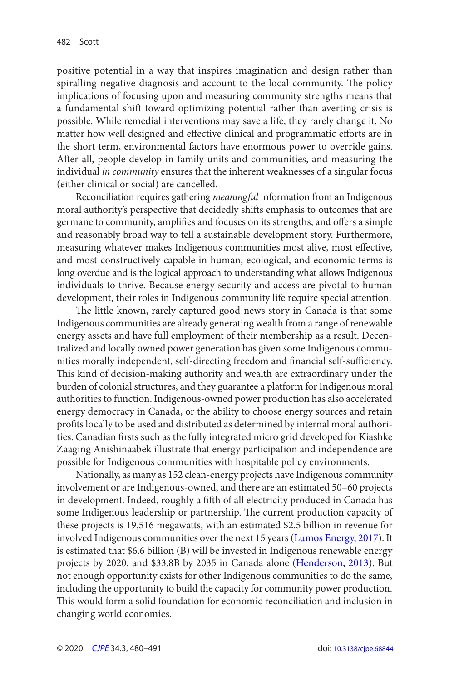<span id="page-2-0"></span>positive potential in a way that inspires imagination and design rather than spiralling negative diagnosis and account to the local community. The policy implications of focusing upon and measuring community strengths means that a fundamental shift toward optimizing potential rather than averting crisis is possible. While remedial interventions may save a life, they rarely change it. No matter how well designed and effective clinical and programmatic efforts are in the short term, environmental factors have enormous power to override gains. After all, people develop in family units and communities, and measuring the individual in community ensures that the inherent weaknesses of a singular focus (either clinical or social) are cancelled.

Reconciliation requires gathering meaningful information from an Indigenous moral authority's perspective that decidedly shifts emphasis to outcomes that are germane to community, amplifies and focuses on its strengths, and offers a simple and reasonably broad way to tell a sustainable development story. Furthermore, measuring whatever makes Indigenous communities most alive, most effective, and most constructively capable in human, ecological, and economic terms is long overdue and is the logical approach to understanding what allows Indigenous individuals to thrive. Because energy security and access are pivotal to human development, their roles in Indigenous community life require special attention.

 The little known, rarely captured good news story in Canada is that some Indigenous communities are already generating wealth from a range of renewable energy assets and have full employment of their membership as a result. Decentralized and locally owned power generation has given some Indigenous communities morally independent, self-directing freedom and financial self-sufficiency. This kind of decision-making authority and wealth are extraordinary under the burden of colonial structures, and they guarantee a platform for Indigenous moral authorities to function. Indigenous-owned power production has also accelerated energy democracy in Canada, or the ability to choose energy sources and retain profits locally to be used and distributed as determined by internal moral authorities. Canadian firsts such as the fully integrated micro grid developed for Kiashke Zaaging Anishinaabek illustrate that energy participation and independence are possible for Indigenous communities with hospitable policy environments.

Nationally, as many as 152 clean-energy projects have Indigenous community involvement or are Indigenous-owned, and there are an estimated 50–60 projects in development. Indeed, roughly a fifth of all electricity produced in Canada has some Indigenous leadership or partnership. The current production capacity of these projects is 19,516 megawatts, with an estimated \$2.5 billion in revenue for involved Indigenous communities over the next 15 years ([Lumos Energy, 2017\)](#page-11-0). It is estimated that \$6.6 billion (B) will be invested in Indigenous renewable energy projects by 2020, and \$33.8B by 2035 in Canada alone ([Henderson, 2013\)](#page-11-0). But not enough opportunity exists for other Indigenous communities to do the same, including the opportunity to build the capacity for community power production. This would form a solid foundation for economic reconciliation and inclusion in changing world economies.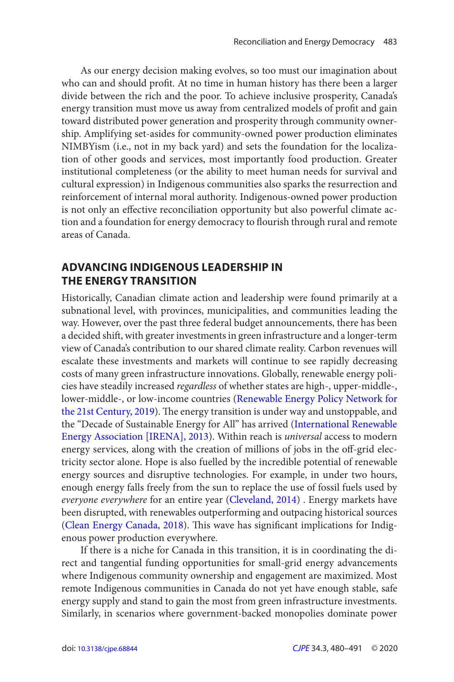<span id="page-3-0"></span>As our energy decision making evolves, so too must our imagination about who can and should profit. At no time in human history has there been a larger divide between the rich and the poor. To achieve inclusive prosperity, Canada's energy transition must move us away from centralized models of profit and gain toward distributed power generation and prosperity through community ownership. Amplifying set-asides for community-owned power production eliminates NIMBYism (i.e., not in my back yard) and sets the foundation for the localization of other goods and services, most importantly food production. Greater institutional completeness (or the ability to meet human needs for survival and cultural expression) in Indigenous communities also sparks the resurrection and reinforcement of internal moral authority. Indigenous-owned power production is not only an effective reconciliation opportunity but also powerful climate action and a foundation for energy democracy to flourish through rural and remote areas of Canada.

## **ADVANCING INDIGENOUS LEADERSHIP IN THE ENERGY TRANSITION**

Historically, Canadian climate action and leadership were found primarily at a subnational level, with provinces, municipalities, and communities leading the way. However, over the past three federal budget announcements, there has been a decided shift, with greater investments in green infrastructure and a longer-term view of Canada's contribution to our shared climate reality. Carbon revenues will escalate these investments and markets will continue to see rapidly decreasing costs of many green infrastructure innovations. Globally, renewable energy policies have steadily increased regardless of whether states are high-, upper-middle-, lower-middle-, or low-income countries (Renewable Energy Policy Network for [the 21st Century, 2019\)](#page-11-0). The energy transition is under way and unstoppable, and the "Decade of Sustainable Energy for All" has arrived ([International Renewable](#page-11-0)  Energy Association [IRENA], 2013). Within reach is *universal* access to modern energy services, along with the creation of millions of jobs in the off-grid electricity sector alone. Hope is also fuelled by the incredible potential of renewable energy sources and disruptive technologies. For example, in under two hours, enough energy falls freely from the sun to replace the use of fossil fuels used by everyone everywhere for an entire year ([Cleveland, 2014\)](#page-11-0) . Energy markets have been disrupted, with renewables outperforming and outpacing historical sources ([Clean Energy Canada, 2018](#page-10-0)). This wave has significant implications for Indigenous power production everywhere.

If there is a niche for Canada in this transition, it is in coordinating the direct and tangential funding opportunities for small-grid energy advancements where Indigenous community ownership and engagement are maximized. Most remote Indigenous communities in Canada do not yet have enough stable, safe energy supply and stand to gain the most from green infrastructure investments. Similarly, in scenarios where government-backed monopolies dominate power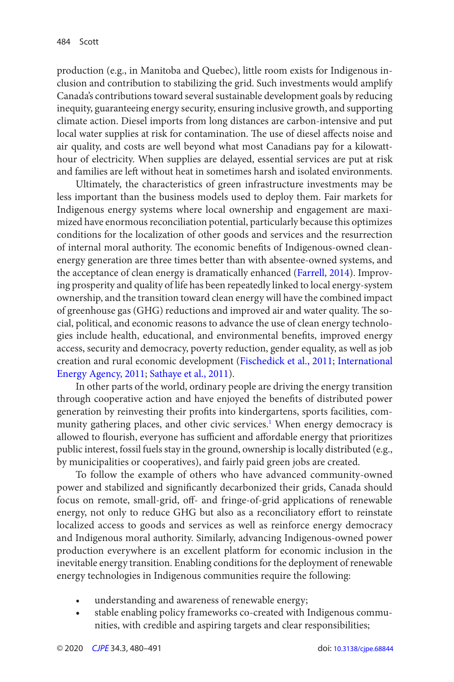<span id="page-4-0"></span>production (e.g., in Manitoba and Quebec), little room exists for Indigenous inclusion and contribution to stabilizing the grid. Such investments would amplify Canada's contributions toward several sustainable development goals by reducing inequity, guaranteeing energy security, ensuring inclusive growth, and supporting climate action. Diesel imports from long distances are carbon-intensive and put local water supplies at risk for contamination. The use of diesel affects noise and air quality, and costs are well beyond what most Canadians pay for a kilowatthour of electricity. When supplies are delayed, essential services are put at risk and families are left without heat in sometimes harsh and isolated environments.

Ultimately, the characteristics of green infrastructure investments may be less important than the business models used to deploy them. Fair markets for Indigenous energy systems where local ownership and engagement are maximized have enormous reconciliation potential, particularly because this optimizes conditions for the localization of other goods and services and the resurrection of internal moral authority. The economic benefits of Indigenous-owned cleanenergy generation are three times better than with absentee-owned systems, and the acceptance of clean energy is dramatically enhanced ([Farrell, 2014](#page-11-0)). Improving prosperity and quality of life has been repeatedly linked to local energy-system ownership, and the transition toward clean energy will have the combined impact of greenhouse gas (GHG) reductions and improved air and water quality. The social, political, and economic reasons to advance the use of clean energy technologies include health, educational, and environmental benefits, improved energy access, security and democracy, poverty reduction, gender equality, as well as job creation and rural economic development [\(Fischedick et al., 2011](#page-11-0); [International](#page-11-0)  [Energy Agency, 2011; Sathaye et al., 2011](#page-11-0)).

In other parts of the world, ordinary people are driving the energy transition through cooperative action and have enjoyed the benefits of distributed power generation by reinvesting their profits into kindergartens, sports facilities, com-munity gathering places, and other civic services.<sup>[1](#page-10-0)</sup> When energy democracy is allowed to flourish, everyone has sufficient and affordable energy that prioritizes public interest, fossil fuels stay in the ground, ownership is locally distributed (e.g., by municipalities or cooperatives), and fairly paid green jobs are created.

To follow the example of others who have advanced community-owned power and stabilized and significantly decarbonized their grids, Canada should focus on remote, small-grid, off- and fringe-of-grid applications of renewable energy, not only to reduce GHG but also as a reconciliatory effort to reinstate localized access to goods and services as well as reinforce energy democracy and Indigenous moral authority. Similarly, advancing Indigenous-owned power production everywhere is an excellent platform for economic inclusion in the inevitable energy transition. Enabling conditions for the deployment of renewable energy technologies in Indigenous communities require the following:

- understanding and awareness of renewable energy;
- stable enabling policy frameworks co-created with Indigenous communities, with credible and aspiring targets and clear responsibilities;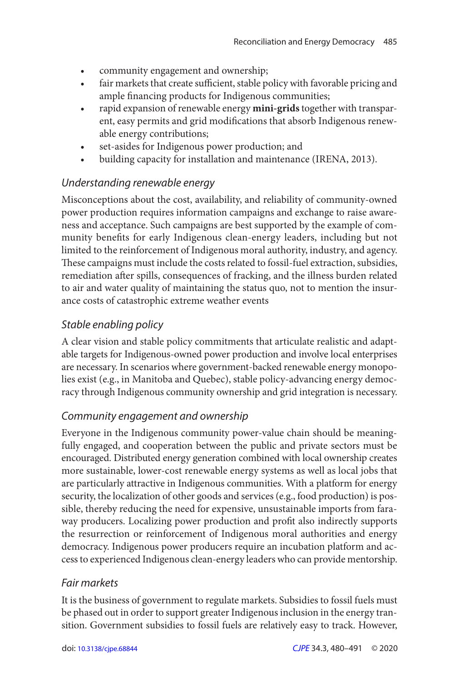- community engagement and ownership;
- fair markets that create sufficient, stable policy with favorable pricing and ample financing products for Indigenous communities;
- rapid expansion of renewable energy mini-grids together with transparent, easy permits and grid modifications that absorb Indigenous renewable energy contributions;
- set-asides for Indigenous power production; and
- building capacity for installation and maintenance (IRENA, 2013).

### Understanding renewable energy

Misconceptions about the cost, availability, and reliability of community-owned power production requires information campaigns and exchange to raise awareness and acceptance. Such campaigns are best supported by the example of community benefits for early Indigenous clean-energy leaders, including but not limited to the reinforcement of Indigenous moral authority, industry, and agency. These campaigns must include the costs related to fossil-fuel extraction, subsidies, remediation after spills, consequences of fracking, and the illness burden related to air and water quality of maintaining the status quo, not to mention the insurance costs of catastrophic extreme weather events

## Stable enabling policy

A clear vision and stable policy commitments that articulate realistic and adaptable targets for Indigenous-owned power production and involve local enterprises are necessary. In scenarios where government-backed renewable energy monopolies exist (e.g., in Manitoba and Quebec), stable policy-advancing energy democracy through Indigenous community ownership and grid integration is necessary.

## Community engagement and ownership

Everyone in the Indigenous community power-value chain should be meaningfully engaged, and cooperation between the public and private sectors must be encouraged. Distributed energy generation combined with local ownership creates more sustainable, lower-cost renewable energy systems as well as local jobs that are particularly attractive in Indigenous communities. With a platform for energy security, the localization of other goods and services (e.g., food production) is possible, thereby reducing the need for expensive, unsustainable imports from faraway producers. Localizing power production and profit also indirectly supports the resurrection or reinforcement of Indigenous moral authorities and energy democracy. Indigenous power producers require an incubation platform and access to experienced Indigenous clean-energy leaders who can provide mentorship.

### Fair markets

It is the business of government to regulate markets. Subsidies to fossil fuels must be phased out in order to support greater Indigenous inclusion in the energy transition. Government subsidies to fossil fuels are relatively easy to track. However,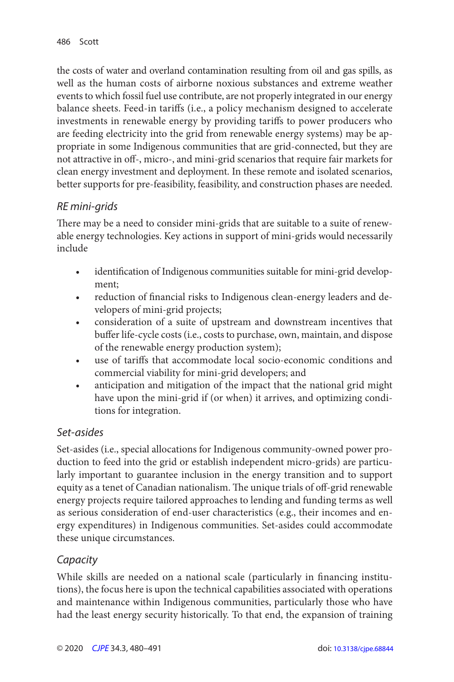the costs of water and overland contamination resulting from oil and gas spills, as well as the human costs of airborne noxious substances and extreme weather events to which fossil fuel use contribute, are not properly integrated in our energy balance sheets. Feed-in tariffs (i.e., a policy mechanism designed to accelerate investments in renewable energy by providing tariffs to power producers who are feeding electricity into the grid from renewable energy systems) may be appropriate in some Indigenous communities that are grid-connected, but they are not attractive in off-, micro-, and mini-grid scenarios that require fair markets for clean energy investment and deployment. In these remote and isolated scenarios, better supports for pre-feasibility, feasibility, and construction phases are needed.

## RE mini-grids

 There may be a need to consider mini-grids that are suitable to a suite of renewable energy technologies. Key actions in support of mini-grids would necessarily include

- identification of Indigenous communities suitable for mini-grid development;
- reduction of financial risks to Indigenous clean-energy leaders and developers of mini-grid projects;
- consideration of a suite of upstream and downstream incentives that buffer life-cycle costs (i.e., costs to purchase, own, maintain, and dispose of the renewable energy production system);
- • use of tariffs that accommodate local socio-economic conditions and commercial viability for mini-grid developers; and
- anticipation and mitigation of the impact that the national grid might have upon the mini-grid if (or when) it arrives, and optimizing conditions for integration.

# Set-asides

Set-asides (i.e., special allocations for Indigenous community-owned power production to feed into the grid or establish independent micro-grids) are particularly important to guarantee inclusion in the energy transition and to support equity as a tenet of Canadian nationalism. The unique trials of off -grid renewable energy projects require tailored approaches to lending and funding terms as well as serious consideration of end-user characteristics (e.g., their incomes and energy expenditures) in Indigenous communities. Set-asides could accommodate these unique circumstances.

# **Capacity**

While skills are needed on a national scale (particularly in financing institutions), the focus here is upon the technical capabilities associated with operations and maintenance within Indigenous communities, particularly those who have had the least energy security historically. To that end, the expansion of training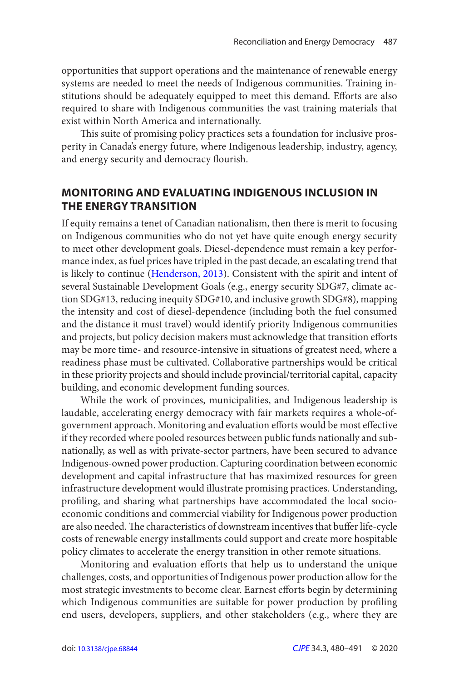opportunities that support operations and the maintenance of renewable energy systems are needed to meet the needs of Indigenous communities. Training institutions should be adequately equipped to meet this demand. Efforts are also required to share with Indigenous communities the vast training materials that exist within North America and internationally.

 This suite of promising policy practices sets a foundation for inclusive prosperity in Canada's energy future, where Indigenous leadership, industry, agency, and energy security and democracy flourish.

### **MONITORING AND EVALUATING INDIGENOUS INCLUSION IN THE ENERGY TRANSITION**

If equity remains a tenet of Canadian nationalism, then there is merit to focusing on Indigenous communities who do not yet have quite enough energy security to meet other development goals. Diesel-dependence must remain a key performance index, as fuel prices have tripled in the past decade, an escalating trend that is likely to continue [\(Henderson, 2013](#page-11-0)). Consistent with the spirit and intent of several Sustainable Development Goals (e.g., energy security SDG#7, climate action SDG#13, reducing inequity SDG#10, and inclusive growth SDG#8), mapping the intensity and cost of diesel-dependence (including both the fuel consumed and the distance it must travel) would identify priority Indigenous communities and projects, but policy decision makers must acknowledge that transition efforts may be more time- and resource-intensive in situations of greatest need, where a readiness phase must be cultivated. Collaborative partnerships would be critical in these priority projects and should include provincial/territorial capital, capacity building, and economic development funding sources.

While the work of provinces, municipalities, and Indigenous leadership is laudable, accelerating energy democracy with fair markets requires a whole-ofgovernment approach. Monitoring and evaluation efforts would be most effective if they recorded where pooled resources between public funds nationally and subnationally, as well as with private-sector partners, have been secured to advance Indigenous-owned power production. Capturing coordination between economic development and capital infrastructure that has maximized resources for green infrastructure development would illustrate promising practices. Understanding, profiling, and sharing what partnerships have accommodated the local socioeconomic conditions and commercial viability for Indigenous power production are also needed. The characteristics of downstream incentives that buffer life-cycle costs of renewable energy installments could support and create more hospitable policy climates to accelerate the energy transition in other remote situations.

Monitoring and evaluation efforts that help us to understand the unique challenges, costs, and opportunities of Indigenous power production allow for the most strategic investments to become clear. Earnest efforts begin by determining which Indigenous communities are suitable for power production by profiling end users, developers, suppliers, and other stakeholders (e.g., where they are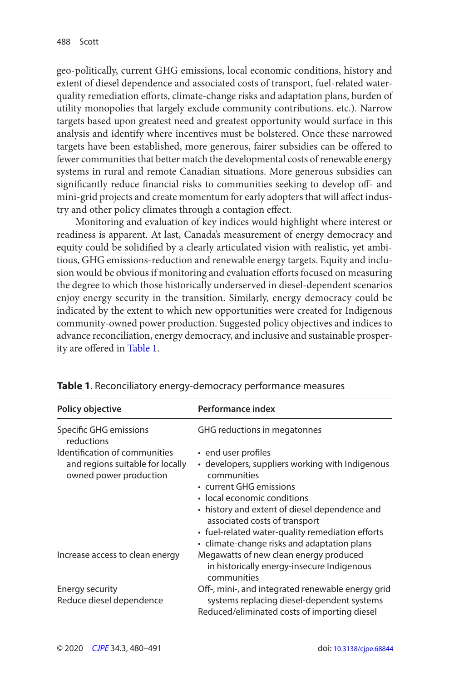geo-politically, current GHG emissions, local economic conditions, history and extent of diesel dependence and associated costs of transport, fuel-related waterquality remediation efforts, climate-change risks and adaptation plans, burden of utility monopolies that largely exclude community contributions. etc.). Narrow targets based upon greatest need and greatest opportunity would surface in this analysis and identify where incentives must be bolstered. Once these narrowed targets have been established, more generous, fairer subsidies can be offered to fewer communities that better match the developmental costs of renewable energy systems in rural and remote Canadian situations. More generous subsidies can significantly reduce financial risks to communities seeking to develop off- and mini-grid projects and create momentum for early adopters that will affect industry and other policy climates through a contagion effect.

Monitoring and evaluation of key indices would highlight where interest or readiness is apparent. At last, Canada's measurement of energy democracy and equity could be solidified by a clearly articulated vision with realistic, yet ambitious, GHG emissions-reduction and renewable energy targets. Equity and inclusion would be obvious if monitoring and evaluation efforts focused on measuring the degree to which those historically underserved in diesel-dependent scenarios enjoy energy security in the transition. Similarly, energy democracy could be indicated by the extent to which new opportunities were created for Indigenous community-owned power production. Suggested policy objectives and indices to advance reconciliation, energy democracy, and inclusive and sustainable prosperity are offered in Table 1.

| Policy objective                                           | Performance index                                                                                   |
|------------------------------------------------------------|-----------------------------------------------------------------------------------------------------|
| Specific GHG emissions<br>reductions                       | GHG reductions in megatonnes                                                                        |
| Identification of communities                              | • end user profiles                                                                                 |
| and regions suitable for locally<br>owned power production | • developers, suppliers working with Indigenous<br>communities                                      |
|                                                            | • current GHG emissions                                                                             |
|                                                            | • local economic conditions                                                                         |
|                                                            | • history and extent of diesel dependence and<br>associated costs of transport                      |
|                                                            | • fuel-related water-quality remediation efforts<br>• climate-change risks and adaptation plans     |
| Increase access to clean energy                            | Megawatts of new clean energy produced<br>in historically energy-insecure Indigenous<br>communities |
| Energy security                                            | Off-, mini-, and integrated renewable energy grid                                                   |
| Reduce diesel dependence                                   | systems replacing diesel-dependent systems<br>Reduced/eliminated costs of importing diesel          |

**Table 1**. Reconciliatory energy-democracy performance measures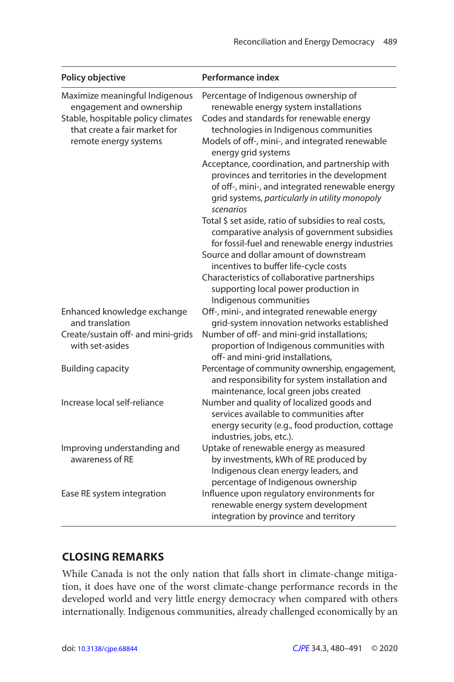| Policy objective                                                                                                                                           | Performance index                                                                                                                                                                                                                                                                                                                                                                                                                                                                                                                                                                                                                                                                                                                                                                                          |
|------------------------------------------------------------------------------------------------------------------------------------------------------------|------------------------------------------------------------------------------------------------------------------------------------------------------------------------------------------------------------------------------------------------------------------------------------------------------------------------------------------------------------------------------------------------------------------------------------------------------------------------------------------------------------------------------------------------------------------------------------------------------------------------------------------------------------------------------------------------------------------------------------------------------------------------------------------------------------|
| Maximize meaningful Indigenous<br>engagement and ownership<br>Stable, hospitable policy climates<br>that create a fair market for<br>remote energy systems | Percentage of Indigenous ownership of<br>renewable energy system installations<br>Codes and standards for renewable energy<br>technologies in Indigenous communities<br>Models of off-, mini-, and integrated renewable<br>energy grid systems<br>Acceptance, coordination, and partnership with<br>provinces and territories in the development<br>of off-, mini-, and integrated renewable energy<br>grid systems, particularly in utility monopoly<br>scenarios<br>Total \$ set aside, ratio of subsidies to real costs,<br>comparative analysis of government subsidies<br>for fossil-fuel and renewable energy industries<br>Source and dollar amount of downstream<br>incentives to buffer life-cycle costs<br>Characteristics of collaborative partnerships<br>supporting local power production in |
| Enhanced knowledge exchange                                                                                                                                | Indigenous communities<br>Off-, mini-, and integrated renewable energy                                                                                                                                                                                                                                                                                                                                                                                                                                                                                                                                                                                                                                                                                                                                     |
| and translation                                                                                                                                            | grid-system innovation networks established                                                                                                                                                                                                                                                                                                                                                                                                                                                                                                                                                                                                                                                                                                                                                                |
| Create/sustain off- and mini-grids<br>with set-asides                                                                                                      | Number of off- and mini-grid installations;<br>proportion of Indigenous communities with<br>off- and mini-grid installations,                                                                                                                                                                                                                                                                                                                                                                                                                                                                                                                                                                                                                                                                              |
| <b>Building capacity</b>                                                                                                                                   | Percentage of community ownership, engagement,<br>and responsibility for system installation and<br>maintenance, local green jobs created                                                                                                                                                                                                                                                                                                                                                                                                                                                                                                                                                                                                                                                                  |
| Increase local self-reliance                                                                                                                               | Number and quality of localized goods and<br>services available to communities after<br>energy security (e.g., food production, cottage<br>industries, jobs, etc.).                                                                                                                                                                                                                                                                                                                                                                                                                                                                                                                                                                                                                                        |
| Improving understanding and<br>awareness of RE                                                                                                             | Uptake of renewable energy as measured<br>by investments, kWh of RE produced by<br>Indigenous clean energy leaders, and<br>percentage of Indigenous ownership                                                                                                                                                                                                                                                                                                                                                                                                                                                                                                                                                                                                                                              |
| Ease RE system integration                                                                                                                                 | Influence upon regulatory environments for<br>renewable energy system development<br>integration by province and territory                                                                                                                                                                                                                                                                                                                                                                                                                                                                                                                                                                                                                                                                                 |

## **CLOSING REMARKS**

While Canada is not the only nation that falls short in climate-change mitigation, it does have one of the worst climate-change performance records in the developed world and very little energy democracy when compared with others internationally. Indigenous communities, already challenged economically by an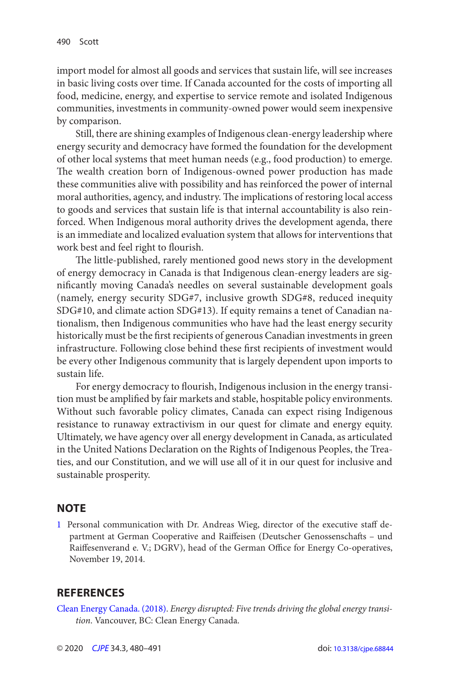<span id="page-10-0"></span>import model for almost all goods and services that sustain life, will see increases in basic living costs over time. If Canada accounted for the costs of importing all food, medicine, energy, and expertise to service remote and isolated Indigenous communities, investments in community-owned power would seem inexpensive by comparison.

Still, there are shining examples of Indigenous clean-energy leadership where energy security and democracy have formed the foundation for the development of other local systems that meet human needs (e.g., food production) to emerge. The wealth creation born of Indigenous-owned power production has made these communities alive with possibility and has reinforced the power of internal moral authorities, agency, and industry. The implications of restoring local access to goods and services that sustain life is that internal accountability is also reinforced. When Indigenous moral authority drives the development agenda, there is an immediate and localized evaluation system that allows for interventions that work best and feel right to flourish.

 The little-published, rarely mentioned good news story in the development of energy democracy in Canada is that Indigenous clean-energy leaders are significantly moving Canada's needles on several sustainable development goals (namely, energy security SDG#7, inclusive growth SDG#8, reduced inequity SDG#10, and climate action SDG#13). If equity remains a tenet of Canadian nationalism, then Indigenous communities who have had the least energy security historically must be the first recipients of generous Canadian investments in green infrastructure. Following close behind these first recipients of investment would be every other Indigenous community that is largely dependent upon imports to sustain life.

For energy democracy to flourish, Indigenous inclusion in the energy transition must be amplified by fair markets and stable, hospitable policy environments. Without such favorable policy climates, Canada can expect rising Indigenous resistance to runaway extractivism in our quest for climate and energy equity. Ultimately, we have agency over all energy development in Canada, as articulated in the United Nations Declaration on the Rights of Indigenous Peoples, the Treaties, and our Constitution, and we will use all of it in our quest for inclusive and sustainable prosperity.

## **NOTE**

[1](#page-4-0) Personal communication with Dr. Andreas Wieg, director of the executive staff department at German Cooperative and Raiffeisen (Deutscher Genossenschafts – und Raiffesenverand e. V.; DGRV), head of the German Office for Energy Co-operatives, November 19, 2014.

## **REFERENCES**

 [Clean Energy Canada . \( 2018 \)](#page-3-0). Energy disrupted: Five trends driving the global energy transition. Vancouver, BC: Clean Energy Canada.